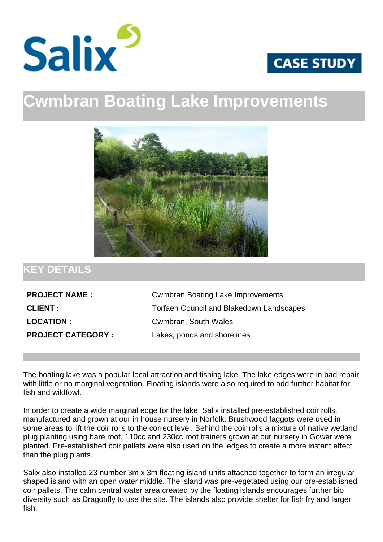



## **Cwmbran Boating Lake Improvements**



## **KEY DETAILS**

| <b>PROJECT NAME:</b>     |
|--------------------------|
| <b>CLIENT:</b>           |
| <b>LOCATION:</b>         |
| <b>PROJECT CATEGORY:</b> |

**Cwmbran Boating Lake Improvements** Torfaen Council and Blakedown Landscapes Cwmbran, South Wales Lakes, ponds and shorelines

The boating lake was a popular local attraction and fishing lake. The lake edges were in bad repair with little or no marginal vegetation. Floating islands were also required to add further habitat for fish and wildfowl.

In order to create a wide marginal edge for the lake, Salix installed pre-established coir rolls, manufactured and grown at our in house nursery in Norfolk. Brushwood faggots were used in some areas to lift the coir rolls to the correct level. Behind the coir rolls a mixture of native wetland plug planting using bare root, 110cc and 230cc root trainers grown at our nursery in Gower were planted. Pre-established coir pallets were also used on the ledges to create a more instant effect than the plug plants.

Salix also installed 23 number 3m x 3m floating island units attached together to form an irregular shaped island with an open water middle. The island was pre-vegetated using our pre-established coir pallets. The calm central water area created by the floating islands encourages further bio diversity such as Dragonfly to use the site. The islands also provide shelter for fish fry and larger fish.